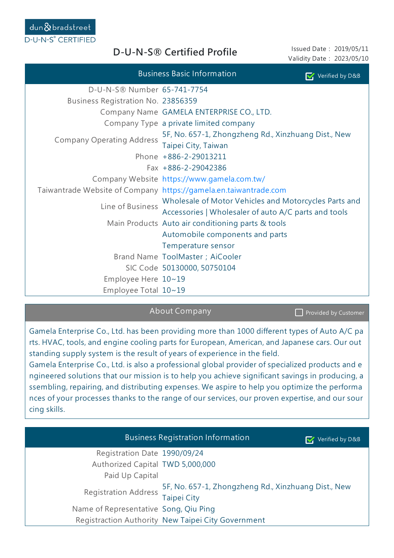**D-U-N-S® Certified Profile**

Issued Date: 2019/05/11 Validity Date: 2023/05/10

| Verified by D&B                                                          |                                                       |  |  |  |  |
|--------------------------------------------------------------------------|-------------------------------------------------------|--|--|--|--|
| D-U-N-S® Number 65-741-7754                                              |                                                       |  |  |  |  |
| Business Registration No. 23856359                                       |                                                       |  |  |  |  |
| Company Name GAMELA ENTERPRISE CO., LTD.                                 |                                                       |  |  |  |  |
| Company Type a private limited company                                   |                                                       |  |  |  |  |
| 5F, No. 657-1, Zhongzheng Rd., Xinzhuang Dist., New                      |                                                       |  |  |  |  |
| <b>Company Operating Address</b><br>Taipei City, Taiwan                  |                                                       |  |  |  |  |
| Phone +886-2-29013211                                                    |                                                       |  |  |  |  |
| Fax +886-2-29042386                                                      |                                                       |  |  |  |  |
| Company Website https://www.gamela.com.tw/                               |                                                       |  |  |  |  |
| Taiwantrade Website of Company https://gamela.en.taiwantrade.com         |                                                       |  |  |  |  |
|                                                                          | Wholesale of Motor Vehicles and Motorcycles Parts and |  |  |  |  |
| Line of Business<br>Accessories   Wholesaler of auto A/C parts and tools |                                                       |  |  |  |  |
| Main Products Auto air conditioning parts & tools                        |                                                       |  |  |  |  |
| Automobile components and parts                                          |                                                       |  |  |  |  |
| Temperature sensor                                                       |                                                       |  |  |  |  |
| Brand Name ToolMaster ; AiCooler                                         |                                                       |  |  |  |  |
| SIC Code 50130000, 50750104                                              |                                                       |  |  |  |  |
| Employee Here $10~19$                                                    |                                                       |  |  |  |  |
| Employee Total $10~19$                                                   |                                                       |  |  |  |  |

## About Company

Provided by Customer

Gamela Enterprise Co., Ltd. has been providing more than 1000 different types of Auto A/C pa rts. HVAC, tools, and engine cooling parts for European, American, and Japanese cars. Our out standing supply system is the result of years of experience in the field.

Gamela Enterprise Co., Ltd. is also a professional global provider of specialized products and e ngineered solutions that our mission is to help you achieve significant savings in producing, a ssembling, repairing, and distributing expenses. We aspire to help you optimize the performa nces of your processes thanks to the range of our services, our proven expertise, and our sour cing skills.

|                                       | <b>Business Registration Information</b>                                  | Verified by D&B |
|---------------------------------------|---------------------------------------------------------------------------|-----------------|
| Registration Date 1990/09/24          |                                                                           |                 |
| Authorized Capital TWD 5,000,000      |                                                                           |                 |
| Paid Up Capital                       |                                                                           |                 |
| <b>Registration Address</b>           | 5F, No. 657-1, Zhongzheng Rd., Xinzhuang Dist., New<br><b>Taipei City</b> |                 |
| Name of Representative Song, Qiu Ping |                                                                           |                 |
|                                       | Registraction Authority New Taipei City Government                        |                 |